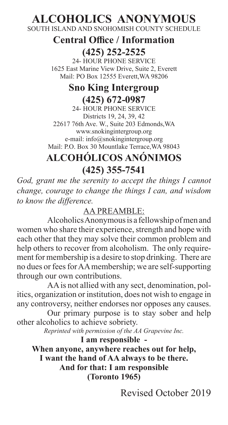# **ALCOHOLICS ANONYMOUS**

SOUTH ISLAND AND SNOHOMISH COUNTY SCHEDULE

#### **Central Office / Information (425) 252-2525**

24- HOUR PHONE SERVICE 1625 East Marine View Drive, Suite 2, Everett Mail: PO Box 12555 Everett,WA 98206

## **Sno King Intergroup (425) 672-0987**

24- HOUR PHONE SERVICE Districts 19, 24, 39, 42 22617 76th Ave. W., Suite 203 Edmonds,WA www.snokingintergroup.org e-mail: info@snokingintergroup.org Mail: P.O. Box 30 Mountlake Terrace,WA 98043

# **ALCOHÓLICOS ANÓNIMOS (425) 355-7541**

*God, grant me the serenity to accept the things I cannot change, courage to change the things I can, and wisdom to know the difference.*

#### AA PREAMBLE:

Alcoholics Anonymous is a fellowship of men and women who share their experience, strength and hope with each other that they may solve their common problem and help others to recover from alcoholism. The only requirement for membership is a desire to stop drinking. There are no dues or fees for AA membership; we are self-supporting through our own contributions.

AA is not allied with any sect, denomination, politics, organization or institution, does not wish to engage in any controversy, neither endorses nor opposes any causes.

Our primary purpose is to stay sober and help other alcoholics to achieve sobriety.

*Reprinted with permission of the AA Grapevine Inc.*

**I am responsible - When anyone, anywhere reaches out for help, I want the hand of AA always to be there. And for that: I am responsible (Toronto 1965)**

Revised October 2019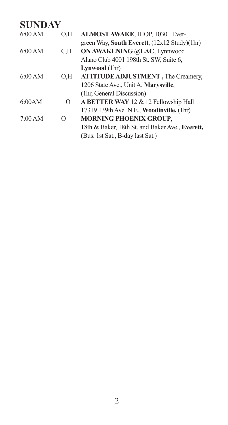| 6:00 AM | 0,H               | ALMOST AWAKE, IHOP, 10301 Ever-                   |
|---------|-------------------|---------------------------------------------------|
|         |                   | green Way, South Everett, (12x12 Study)(1hr)      |
| 6:00 AM | C.H               | ON AWAKENING @LAC, Lynnwood                       |
|         |                   | Alano Club 4001 198th St. SW, Suite 6,            |
|         |                   | Lynwood (1hr)                                     |
| 6:00 AM | O.H               | <b>ATTITUDE ADJUSTMENT, The Creamery,</b>         |
|         |                   | 1206 State Ave., Unit A, Marysville,              |
|         |                   | (1hr, General Discussion)                         |
| 6:00AM  | $\mathbf{\Omega}$ | A BETTER WAY 12 & 12 Fellowship Hall              |
|         |                   | 17319 139th Ave. N.E., <b>Woodinville</b> , (1hr) |
| 7:00 AM | O                 | <b>MORNING PHOENIX GROUP.</b>                     |
|         |                   | 18th & Baker, 18th St. and Baker Ave., Everett,   |
|         |                   | (Bus. 1st Sat., B-day last Sat.)                  |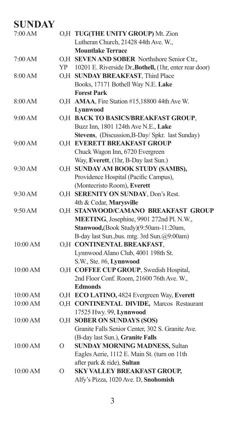| 7:00 AM  |         | O,H TUG(THE UNITY GROUP) Mt. Zion                       |
|----------|---------|---------------------------------------------------------|
|          |         | Lutheran Church, 21428 44th Ave. W.,                    |
|          |         | <b>Mountlake Terrace</b>                                |
| 7:00 AM  |         | O,H SEVEN AND SOBER Northshore Senior Ctr.,             |
|          | YP      | 10201 E. Riverside Dr., Bothell, (1hr, enter rear door) |
| 8:00 AM  |         | O,H SUNDAY BREAKFAST, Third Place                       |
|          |         | Books, 17171 Bothell Way N.E. Lake                      |
|          |         | <b>Forest Park</b>                                      |
| 8:00 AM  |         | O,H AMAA, Fire Station #15,18800 44th Ave W.            |
|          |         | Lynnwood                                                |
| 9:00 AM  |         | O,H BACK TO BASICS/BREAKFAST GROUP,                     |
|          |         | Buzz Inn, 1801 124th Ave N.E., Lake                     |
|          |         | Stevens, (Discussion, B-Day/ Spkr. last Sunday)         |
| 9:00 AM  |         | O,H EVERETT BREAKFAST GROUP                             |
|          |         | Chuck Wagon Inn, 6720 Evergreen                         |
|          |         | Way, Everett, (1hr, B-Day last Sun.)                    |
| 9:30 AM  |         | O,H SUNDAY AM BOOK STUDY (SAMBS),                       |
|          |         | Providence Hospital (Pacific Campus),                   |
|          |         | (Montecristo Room), Everett                             |
| 9:30 AM  |         | O.H SERENITY ON SUNDAY, Don's Rest.                     |
|          |         | 4th & Cedar, Marysville                                 |
| 9:50 AM  |         | O,H STANWOOD/CAMANO BREAKFAST GROUP                     |
|          |         | MEETING, Josephine, 9901 272nd Pl. N.W.,                |
|          |         | Stanwood, (Book Study) (9:50am-11:20am,                 |
|          |         | B-day last Sun., bus. mtg. 3rd Sun.@9:00am)             |
| 10:00 AM |         | O,H CONTINENTAL BREAKFAST,                              |
|          |         | Lynnwood Alano Club, 4001 198th St.                     |
|          |         | S.W., Ste. #6, Lynnwood                                 |
| 10:00 AM |         | O,H COFFEE CUP GROUP, Swedish Hospital,                 |
|          |         | 2nd Floor Conf. Room, 21600 76th Ave. W.,               |
|          |         | <b>Edmonds</b>                                          |
| 10:00 AM |         | O,H ECO LATINO, 4824 Evergreen Way, Everett             |
| 10:00 AM |         | O,H CONTINENTAL DIVIDE, Marcos Restaurant               |
|          |         | 17525 Hwy. 99, Lynnwood                                 |
| 10:00 AM |         | O,H SOBER ON SUNDAYS (SOS)                              |
|          |         | Granite Falls Senior Center, 302 S. Granite Ave.        |
|          |         | (B-day last Sun.), Granite Falls                        |
| 10:00 AM | О       | <b>SUNDAY MORNING MADNESS, Sultan</b>                   |
|          |         | Eagles Aerie, 1112 E. Main St. (turn on 11th            |
|          |         | after park & ride), Sultan                              |
| 10:00 AM | $\circ$ | SKY VALLEY BREAKFAST GROUP,                             |
|          |         | Alfy's Pizza, 1020 Ave. D, Snohomish                    |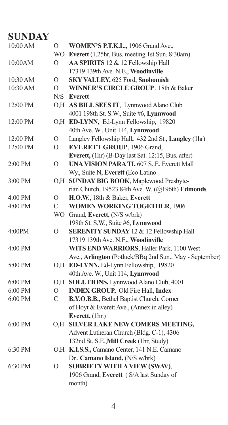| 10:00 AM | О         | WOMEN'S P.T.K.L., 1906 Grand Ave.,                    |
|----------|-----------|-------------------------------------------------------|
|          |           | WO Everett (1.25hr, Bus. meeting 1st Sun. 8:30am)     |
| 10:00AM  | O         | AA SPIRITS 12 & 12 Fellowship Hall                    |
|          |           | 17319 139th Ave. N.E., Woodinville                    |
| 10:30 AM | О         | SKY VALLEY, 625 Ford, Snohomish                       |
| 10:30 AM | O         | WINNER'S CIRCLE GROUP, 18th & Baker                   |
|          |           | N/S Everett                                           |
| 12:00 PM |           | O,H AS BILL SEES IT, Lynnwood Alano Club              |
|          |           | 4001 198th St. S.W., Suite #6, Lynnwood               |
| 12:00 PM |           | O,H ED-LYNN, Ed-Lynn Fellowship, 19820                |
|          |           | 40th Ave. W., Unit 114, Lynnwood                      |
| 12:00 PM | O         | Langley Fellowship Hall, 432 2nd St., Langley (1hr)   |
| 12:00 PM | $\circ$   | <b>EVERETT GROUP</b> , 1906 Grand,                    |
|          |           | Everett, (1hr) (B-Day last Sat. 12:15, Bus. after)    |
| 2:00 PM  | $\circ$   | UNA VISION PARA TI, 607 S.E. Everett Mall             |
|          |           | Wy., Suite N, Everett (Eco Latino                     |
| 3:00 PM  | O.H       | SUNDAY BIG BOOK, Maplewood Presbyte-                  |
|          |           | rian Church, 19523 84th Ave. W. (@196th) Edmonds      |
| 4:00 PM  | O         | H.O.W., 18th & Baker, Everett                         |
| 4:00 PM  | C         | <b>WOMEN WORKING TOGETHER, 1906</b>                   |
|          | <b>WO</b> | Grand, Everett, (N/S w/brk)                           |
|          |           | 198th St. S.W., Suite #6, Lynnwood                    |
| 4:00PM   | $\Omega$  | SERENITY SUNDAY 12 & 12 Fellowship Hall               |
|          |           | 17319 139th Ave. N.E., Woodinville                    |
| 4:00 PM  |           | WITS END WARRIORS, Haller Park, 1100 West             |
|          |           | Ave., Arlington (Potluck/BBq 2nd Sun May - September) |
| 5:00 PM  |           | O,H ED-LYNN, Ed-Lynn Fellowship, 19820                |
|          |           | 40th Ave. W., Unit 114, Lynnwood                      |
| 6:00 PM  |           | O,H SOLUTIONS, Lynnwood Alano Club, 4001              |
| 6:00 PM  | О         | <b>INDEX GROUP, Old Fire Hall, Index</b>              |
| 6:00 PM  | C         | B.Y.O.B.B., Bethel Baptist Church, Corner             |
|          |           | of Hoyt & Everett Ave., (Annex in alley)              |
|          |           | Everett, (1hr.)                                       |
| 6:00 PM  |           | O,H SILVER LAKE NEW COMERS MEETING,                   |
|          |           | Advent Lutheran Church (Bldg. C-1), 4306              |
|          |           | 132nd St. S.E., Mill Creek (1hr, Study)               |
| 6:30 PM  |           | O,H K.I.S.S., Camano Center, 141 N.E. Camano          |
|          |           | Dr., Camano Island, (N/S w/brk)                       |
| 6:30 PM  | O         | SOBRIETY WITH A VIEW (SWAV),                          |
|          |           | 1906 Grand, Everett (S/A last Sunday of               |
|          |           | month)                                                |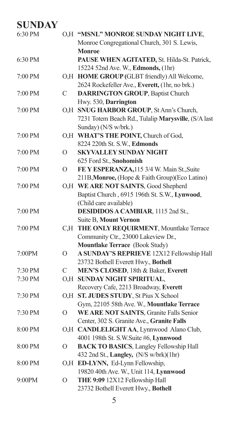| 6:30 PM |                | O.H "MSNL" MONROE SUNDAY NIGHT LIVE,                |
|---------|----------------|-----------------------------------------------------|
|         |                | Monroe Congregational Church, 301 S. Lewis,         |
|         |                | Monroe                                              |
| 6:30 PM |                | PAUSE WHEN AGITATED, St. Hilda-St. Patrick,         |
|         |                | 15224 52nd Ave. W., Edmonds, (1hr)                  |
| 7:00 PM |                | O,H HOME GROUP (GLBT friendly) All Welcome,         |
|         |                | 2624 Rockefeller Ave., Everett, (1hr, no brk.)      |
| 7:00 PM | C              | <b>DARRINGTON GROUP</b> , Baptist Church            |
|         |                | Hwy. 530, Darrington                                |
| 7:00 PM |                | O.H SNUG HARBOR GROUP, St Ann's Church,             |
|         |                | 7231 Totem Beach Rd., Tulalip Marysville, (S/A last |
|         |                | Sunday) (N/S w/brk.)                                |
| 7:00 PM |                | O,H WHAT'S THE POINT, Church of God,                |
|         |                | 8224 220th St. S.W., Edmonds                        |
| 7:00 PM | $\overline{O}$ | <b>SKYVALLEY SUNDAY NIGHT</b>                       |
|         |                | 625 Ford St., Snohomish                             |
| 7:00 PM | $\mathcal{O}$  | FE Y ESPERANZA, 115 3/4 W. Main St., Suite          |
|         |                | 211B, Monroe, (Hope & Faith Group)(Eco Latino)      |
| 7:00 PM |                | O,H WE ARE NOT SAINTS, Good Shepherd                |
|         |                | Baptist Church, 6915 196th St. S.W., Lynwood,       |
|         |                | (Child care available)                              |
| 7:00 PM |                | DESIDIDOS A CAMBIAR, 1115 2nd St.,                  |
|         |                | Suite B, Mount Vernon                               |
| 7:00 PM |                | C,H THE ONLY REQUIRMENT, Mountlake Terrace          |
|         |                | Community Ctr., 23000 Lakeview Dr.,                 |
|         |                | Mountlake Terrace (Book Study)                      |
| 7:00PM  | $\overline{O}$ | A SUNDAY'S REPRIEVE 12X12 Fellowship Hall           |
|         |                | 23732 Bothell Everett Hwy., Bothell                 |
| 7:30 PM | $\mathsf{C}$   | MEN'S CLOSED, 18th & Baker, Everett                 |
| 7:30 PM | O.H            | <b>SUNDAY NIGHT SPIRITUAL,</b>                      |
|         |                | Recovery Cafe, 2213 Broadway, Everett               |
| 7:30 PM |                | O,H ST. JUDES STUDY, St Pius X School               |
|         |                | Gym, 22105 58th Ave. W., Mountlake Terrace          |
| 7:30 PM | $\mathcal{O}$  | WE ARE NOT SAINTS, Granite Falls Senior             |
|         |                | Center, 302 S. Granite Ave., Granite Falls          |
| 8:00 PM |                | O,H CANDLELIGHT AA, Lynnwood Alano Club,            |
|         |                | 4001 198th St. S.W.Suite #6, Lynnwood               |
| 8:00 PM | $\overline{O}$ | <b>BACK TO BASICS, Langley Fellowship Hall</b>      |
|         |                | 432 2nd St., Langley, (N/S w/brk)(1hr)              |
| 8:00 PM |                | O,H ED-LYNN, Ed-Lynn Fellowship,                    |
|         |                | 19820 40th Ave. W., Unit 114, Lynnwood              |
| 9:00PM  | $\mathcal{O}$  | THE 9:09 12X12 Fellowship Hall                      |
|         |                | 23732 Bothell Everett Hwy., Bothell                 |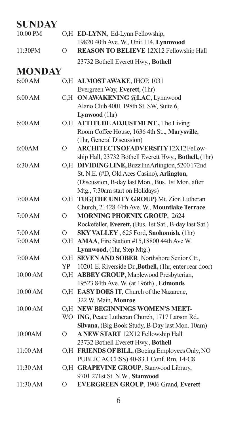| 10:00 PM      |                | O,H ED-LYNN, Ed-Lynn Fellowship,<br>19820 40th Ave. W., Unit 114, Lynnwood |
|---------------|----------------|----------------------------------------------------------------------------|
| 11:30PM       | $\overline{O}$ | REASON TO BELIEVE 12X12 Fellowship Hall                                    |
|               |                | 23732 Bothell Everett Hwy., Bothell                                        |
| <b>MONDAY</b> |                |                                                                            |
| 6:00 AM       |                | O,H ALMOST AWAKE, IHOP, 1031                                               |
|               |                | Evergreen Way, Everett, (1hr)                                              |
| 6:00 AM       |                | C,H ON AWAKENING @LAC, Lynnwood                                            |
|               |                | Alano Club 4001 198th St. SW, Suite 6,                                     |
|               |                | Lynwood (1hr)                                                              |
| 6:00 AM       |                | O,H ATTITUDE ADJUSTMENT, The Living                                        |
|               |                | Room Coffee House, 1636 4th St, Marysville,                                |
|               |                | (1hr, General Discussion)                                                  |
| 6:00AM        | $\overline{O}$ | ARCHITECTS OF ADVERSITY 12X12 Fellow-                                      |
|               |                | ship Hall, 23732 Bothell Everett Hwy., Bothell, (1hr)                      |
| 6:30 AM       |                | O,H DIVIDING LINE, Buzz Inn Arlington, 5200172nd                           |
|               |                | St. N.E. (#D, Old Aces Casino), Arlington,                                 |
|               |                | (Discussion, B-day last Mon., Bus. 1st Mon. after                          |
|               |                | Mtg., 7:30am start on Holidays)                                            |
| 7:00 AM       | O.H            | TUG(THE UNITY GROUP) Mt. Zion Lutheran                                     |
|               |                | Church, 21428 44th Ave. W., Mountlake Terrace                              |
| 7:00 AM       | $\overline{O}$ | <b>MORNING PHOENIX GROUP, 2624</b>                                         |
|               |                | Rockefeller, Everett, (Bus. 1st Sat., B-day last Sat.)                     |
| 7:00 AM       | O              | SKY VALLEY, 625 Ford, Snohomish, (1hr)                                     |
| 7:00 AM       |                | O,H AMAA, Fire Station #15,18800 44th Ave W.                               |
|               |                | Lynnwood, (1hr, Step Mtg.)                                                 |
| 7:00 AM       |                | O,H SEVEN AND SOBER Northshore Senior Ctr.,                                |
|               | YP             | 10201 E. Riverside Dr., Bothell, (1hr, enter rear door)                    |
| 10:00 AM      |                | O,H ABBEY GROUP, Maplewood Presbyterian,                                   |
|               |                | 19523 84th Ave. W. (at 196th), Edmonds                                     |
| 10:00 AM      |                | O,H EASY DOES IT, Church of the Nazarene,                                  |
|               |                | 322 W. Main, Monroe<br>O.H NEW BEGINNINGS WOMEN'S MEET-                    |
| 10:00 AM      |                | WO ING, Peace Lutheran Church, 1717 Larson Rd.,                            |
|               |                | Silvana, (Big Book Study, B-Day last Mon. 10am)                            |
| 10:00AM       | O              | A NEW START 12X12 Fellowship Hall                                          |
|               |                | 23732 Bothell Everett Hwy., Bothell                                        |
| 11:00 AM      |                | O,H FRIENDS OF BILL, (Boeing Employees Only, NO                            |
|               |                | PUBLIC ACCESS) 40-83.1 Conf. Rm. 14-C8                                     |
| 11:30 AM      |                | O,H GRAPEVINE GROUP, Stanwood Library,                                     |
|               |                | 9701 271st St. N.W., Stanwood                                              |
| 11:30 AM      | O              | <b>EVERGREEN GROUP, 1906 Grand, Everett</b>                                |
|               |                |                                                                            |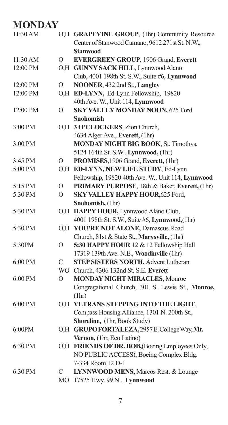# **MONDAY**

| 11:30 AM |                | O,H GRAPEVINE GROUP, (1hr) Community Resource      |
|----------|----------------|----------------------------------------------------|
|          |                | Center of Stanwood Camano, 9612 271st St. N.W.,    |
|          |                | <b>Stanwood</b>                                    |
| 11:30 AM | $\Omega$       | <b>EVERGREEN GROUP, 1906 Grand, Everett</b>        |
| 12:00 PM |                | O,H GUNNY SACK HILL, Lynnwood Alano                |
|          |                | Club, 4001 198th St. S.W., Suite #6, Lynnwood      |
| 12:00 PM | $\overline{O}$ | NOONER, 432 2nd St., Langley                       |
| 12:00 PM |                | O,H ED-LYNN, Ed-Lynn Fellowship, 19820             |
|          |                | 40th Ave. W., Unit 114, Lynnwood                   |
| 12:00 PM | $\Omega$       | SKY VALLEY MONDAY NOON, 625 Ford                   |
|          |                | Snohomish                                          |
| 3:00 PM  |                | O,H 3 O'CLOCKERS, Zion Church,                     |
|          |                | 4634 Alger Ave., Everett, (1hr)                    |
| 3:00 PM  |                | MONDAY NIGHT BIG BOOK, St. Timothys,               |
|          |                | 5124 164th St. S.W., Lynnwood, (1hr)               |
| 3:45 PM  | O              | PROMISES, 1906 Grand, Everett, (1hr)               |
| 5:00 PM  |                | O,H ED-LYNN, NEW LIFE STUDY, Ed-Lynn               |
|          |                | Fellowship, 19820 40th Ave. W., Unit 114, Lynnwood |
| 5:15 PM  | $\circ$        | PRIMARY PURPOSE, 18th & Baker, Everett, (1hr)      |
| 5:30 PM  | $\Omega$       | SKY VALLEY HAPPY HOUR, 625 Ford,                   |
|          |                | Snohomish, (1hr)                                   |
| 5:30 PM  |                | O,H HAPPY HOUR, Lynnwood Alano Club,               |
|          |                | 4001 198th St. S.W., Suite #6, Lynnwood, (1hr)     |
| 5:30 PM  |                | O,H YOU'RE NOT ALONE, Damascus Road                |
|          |                | Church, 81st & State St., Marysville, (1hr)        |
| 5:30PM   | $\circ$        | 5:30 HAPPY HOUR 12 & 12 Fellowship Hall            |
|          |                | 17319 139th Ave. N.E., Woodinville (1hr)           |
| 6:00 PM  | C              | <b>STEP SISTERS NORTH, Advent Lutheran</b>         |
|          |                | WO Church, 4306 132nd St. S.E. Everett             |
| 6:00 PM  | $\overline{O}$ | <b>MONDAY NIGHT MIRACLES, Monroe</b>               |
|          |                | Congregational Church, 301 S. Lewis St., Monroe,   |
|          |                | (1hr)                                              |
| 6:00 PM  |                | O.H VETRANS STEPPING INTO THE LIGHT,               |
|          |                | Compass Housing Alliance, 1301 N. 200th St.,       |
|          |                | Shoreline, (1hr, Book Study)                       |
| 6:00PM   |                | O,H GRUPOFORTALEZA, 2957E. College Way, Mt.        |
|          |                | Vernon, (1hr, Eco Latino)                          |
| 6:30 PM  |                | O,H FRIENDS OF DR. BOB, (Boeing Employees Only,    |
|          |                | NO PUBLIC ACCESS), Boeing Complex Bldg.            |
|          |                | 7-334 Room 12 D-1                                  |
| 6:30 PM  | C              | LYNNWOOD MENS, Marcos Rest. & Lounge               |
|          | MО             | 17525 Hwy. 99 N, Lynnwood                          |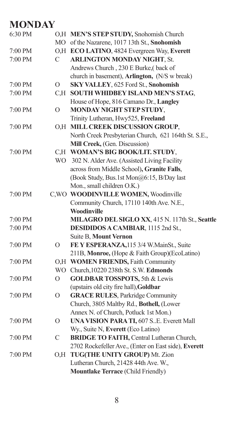#### **MONDAY**

| 6:30 PM |                | O,H MEN'S STEP STUDY, Snohomish Church               |
|---------|----------------|------------------------------------------------------|
|         |                | MO of the Nazarene, 1017 13th St., Snohomish         |
| 7:00 PM |                | O,H ECO LATINO, 4824 Evergreen Way, Everett          |
| 7:00 PM | C              | <b>ARLINGTON MONDAY NIGHT, St.</b>                   |
|         |                | Andrews Church, 230 E Burke,(back of                 |
|         |                | church in basement), Arlington, (N/S w break)        |
| 7:00 PM | $\Omega$       | SKY VALLEY, 625 Ford St., Snohomish                  |
| 7:00 PM | C.H            | SOUTH WHIDBEY ISLAND MEN'S STAG,                     |
|         |                | House of Hope, 816 Camano Dr., Langley               |
| 7:00 PM | $\overline{O}$ | MONDAY NIGHT STEP STUDY,                             |
|         |                | Trinity Lutheran, Hwy525, Freeland                   |
| 7:00 PM |                | O,H MILL CREEK DISCUSSION GROUP,                     |
|         |                | North Creek Presbyterian Church, 621 164th St. S.E., |
|         |                | Mill Creek, (Gen. Discussion)                        |
| 7:00 PM |                | C.H WOMAN'S BIG BOOK/LIT. STUDY,                     |
|         | WO.            | 302 N. Alder Ave. (Assisted Living Facility          |
|         |                | across from Middle School), Granite Falls,           |
|         |                | (Book Study, Bus.1st Mon@6:15, B/Day last            |
|         |                | Mon., small children O.K.)                           |
| 7:00 PM |                | C, WO WOODINVILLE WOMEN, Woodinville                 |
|         |                | Community Church, 17110 140th Ave. N.E.,             |
|         |                | Woodinville                                          |
| 7:00 PM |                | MILAGRO DEL SIGLO XX, 415 N. 117th St., Seattle      |
| 7:00 PM |                | DESIDIDOS A CAMBIAR, 1115 2nd St.,                   |
|         |                | Suite B, Mount Vernon                                |
| 7:00 PM | $\Omega$       | FE Y ESPERANZA, 115 3/4 W. MainSt., Suite            |
|         |                | 211B, Monroe, (Hope & Faith Group)(EcoLatino)        |
| 7:00 PM |                | O.H WOMEN FRIENDS, Faith Community                   |
|         | WO.            | Church, 10220 238th St. S.W. Edmonds                 |
| 7:00 PM | O              | <b>GOLDBAR TOSSPOTS, 5th &amp; Lewis</b>             |
|         |                | (upstairs old city fire hall), Goldbar               |
| 7:00 PM | $\Omega$       | <b>GRACE RULES</b> , Parkridge Community             |
|         |                | Church, 3805 Maltby Rd., Bothell, (Lower             |
|         |                | Annex N. of Church, Potluck 1st Mon.)                |
| 7:00 PM | O              | <b>UNA VISION PARA TI, 607 S.E. Everett Mall</b>     |
|         |                | Wy., Suite N, Everett (Eco Latino)                   |
| 7:00 PM | $\mathsf{C}$   | <b>BRIDGE TO FAITH, Central Lutheran Church,</b>     |
|         |                | 2702 Rockefeller Ave., (Enter on East side), Everett |
| 7:00 PM | O.H            | TUG(THE UNITY GROUP) Mt. Zion                        |
|         |                | Lutheran Church, 21428 44th Ave. W.,                 |
|         |                | Mountlake Terrace (Child Friendly)                   |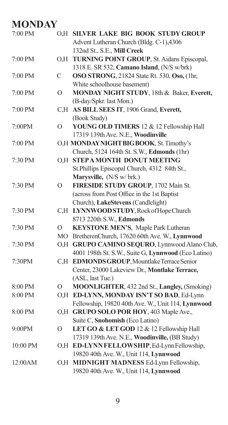## **MONDAY**

| 7:00 PM  |                  | O.H SILVER LAKE BIG BOOK STUDY GROUP                |
|----------|------------------|-----------------------------------------------------|
|          |                  | Advent Lutheran Church (Bldg. C-1),4306             |
|          |                  | 132nd St., S.E., Mill Creek                         |
| 7:00 PM  | O <sub>1</sub> H | TURNING POINT GROUP, St. Aidans Episcopal,          |
|          |                  | 1318 E. SR 532, Camano Island, (N/S w/brk)          |
| 7:00 PM  | С                | OSO STRONG, 21824 State Rt. 530, Oso, (1hr,         |
|          |                  | White schoolhouse basement)                         |
| 7:00 PM  | $\circ$          | MONDAY NIGHT STUDY, 18th & Baker, Everett,          |
|          |                  | (B-day/Spkr. last Mon.)                             |
| 7:00 PM  | C,H              | AS BILL SEES IT, 1906 Grand, Everett,               |
|          |                  | (Book Study)                                        |
| 7:00PM   | $\Omega$         | YOUNG OLD TIMERS 12 & 12 Fellowship Hall            |
|          |                  | 17319 139th Ave. N.E., Woodinville                  |
| 7:00 PM  |                  | O,H MONDAYNIGHT BIG BOOK, St. Timothy's             |
|          |                  | Church, 5124 164th St. S.W., Edmonds (1hr)          |
| 7:30 PM  |                  | O,H STEPA MONTH DONUT MEETING                       |
|          |                  | St.Phillips Episcopal Church, 4312 84th St.,        |
|          |                  | Marysville, (N/S w/ brk.)                           |
| 7:30 PM  | $\circ$          | FIRESIDE STUDY GROUP, 1702 Main St.                 |
|          |                  | (across from Post Office in the 1st Baptist         |
|          |                  | Church), LakeStevens (Candlelight)                  |
| 7:30 PM  |                  | C.H LYNNWOODSTUDY, Rock of Hope Church              |
|          |                  | 8713 220th S.W., Edmonds                            |
| 7:30 PM  | 0                | KEYSTONE MEN'S, Maple Park Lutheran                 |
|          |                  | MO BretherenChurch, 17620 60th Ave. W., Lynnwood    |
| 7:30 PM  |                  | O,H GRUPO CAMINO SEQURO, Lynnwood Alano Club,       |
|          |                  | 4001 198th St. S.W., Suite G, Lynnwood (Eco Latino) |
| 7:30PM   | C.H              | <b>EDMONDS GROUP, Mountlake Terrace Senior</b>      |
|          |                  | Center, 23000 Lakeview Dr., Montlake Terrace,       |
|          |                  | (ASL, last Tue.)                                    |
| 8:00 PM  | 0                | MOONLIGHTER, 432 2nd St., Langley, (Smoking)        |
| 8:00 PM  |                  | O,H ED-LYNN, MONDAY ISN'T SO BAD, Ed-Lynn           |
|          |                  | Fellowship, 19820 40th Ave. W., Unit 114, Lynnwood  |
| 8:00 PM  |                  | O.H GRUPO SOLO POR HOY, 403 Maple Ave.,             |
|          |                  | Suite C, Snohomish (Eco Latino)                     |
| 9:00PM   | $\circ$          | LET GO & LET GOD 12 & 12 Fellowship Hall            |
|          |                  | 17319 139th Ave. N.E., Woodinville, (BB Study)      |
| 10:00 PM |                  | O,H ED-LYNNFELLOWSHIP, Ed-LynnFellowship,           |
|          |                  | 19820 40th Ave. W., Unit 114, Lynnwood              |
| 12:00AM  |                  | O,H MIDNIGHT MADNESS Ed-Lynn Fellowship,            |
|          |                  | 19820 40th Ave. W., Unit 114, Lynnwood              |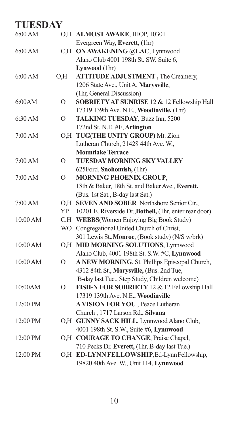| 6:00 AM  |          | O,H ALMOST AWAKE, IHOP, 10301                           |
|----------|----------|---------------------------------------------------------|
|          |          | Evergreen Way, Everett, (1hr)                           |
| 6:00 AM  |          | C,H ON AWAKENING @LAC, Lynnwood                         |
|          |          | Alano Club 4001 198th St. SW, Suite 6,                  |
|          |          | Lynwood (1hr)                                           |
| 6:00 AM  | O.H      | <b>ATTITUDE ADJUSTMENT</b> , The Creamery,              |
|          |          | 1206 State Ave., Unit A, Marysville,                    |
|          |          | (1hr, General Discussion)                               |
| 6:00AM   | O        | SOBRIETY AT SUNRISE 12 & 12 Fellowship Hall             |
|          |          | 17319 139th Ave. N.E., Woodinville, (1hr)               |
| 6:30 AM  | $\Omega$ | TALKING TUESDAY, Buzz Inn, 5200                         |
|          |          | 172nd St. N.E. #E, Arlington                            |
| 7:00 AM  | O,H      | TUG(THE UNITY GROUP) Mt. Zion                           |
|          |          | Lutheran Church, 21428 44th Ave. W.,                    |
|          |          | <b>Mountlake Terrace</b>                                |
| 7:00 AM  | Ω        | TUESDAY MORNING SKY VALLEY                              |
|          |          | 625Ford, Snohomish, (1hr)                               |
| 7:00 AM  | O        | <b>MORNING PHOENIX GROUP,</b>                           |
|          |          | 18th & Baker, 18th St. and Baker Ave., Everett,         |
|          |          | (Bus. 1st Sat., B-day last Sat.)                        |
| 7:00 AM  | O,H      | SEVEN AND SOBER Northshore Senior Ctr.,                 |
|          | YP       | 10201 E. Riverside Dr., Bothell, (1hr, enter rear door) |
| 10:00 AM | C,H      | <b>WEBBS</b> (Women Enjoying Big Book Study)            |
|          | WO       | Congregational United Church of Christ,                 |
|          |          | 301 Lewis St., Monroe, (Book study) (N/S w/brk)         |
| 10:00 AM |          | O,H MID MORNING SOLUTIONS, Lynnwood                     |
|          |          | Alano Club, 4001 198th St. S.W. #C, Lynnwood            |
| 10:00 AM | O        | A NEW MORNING, St. Phillips Episcopal Church,           |
|          |          | 4312 84th St., Marysville, (Bus. 2nd Tue,               |
|          |          | B-day last Tue., Step Study, Children welcome)          |
| 10:00AM  | $\Omega$ | FISH-N FOR SOBRIETY 12 & 12 Fellowship Hall             |
|          |          | 17319 139th Ave. N.E., Woodinville                      |
| 12:00 PM |          | A VISION FOR YOU, Peace Lutheran                        |
|          |          | Church, 1717 Larson Rd., Silvana                        |
| 12:00 PM |          | O,H GUNNY SACK HILL, Lynnwood Alano Club,               |
|          |          | 4001 198th St. S.W., Suite #6, Lynnwood                 |
| 12:00 PM |          | O,H COURAGE TO CHANGE, Praise Chapel,                   |
|          |          | 710 Pecks Dr. Everett, (1hr, B-day last Tue.)           |
| 12:00 PM |          | O,H ED-LYNNFELLOWSHIP,Ed-LynnFellowship,                |
|          |          | 19820 40th Ave. W., Unit 114, Lynnwood                  |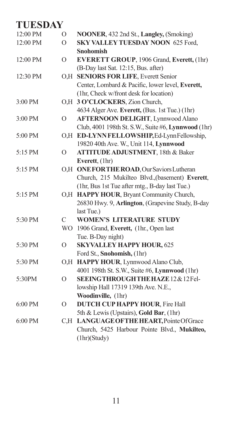| 12:00 PM  | $\overline{O}$ | NOONER, 432 2nd St., Langley, (Smoking)             |
|-----------|----------------|-----------------------------------------------------|
| 12:00 PM  | $\overline{O}$ | SKY VALLEY TUESDAY NOON 625 Ford,                   |
|           |                | <b>Snohomish</b>                                    |
| 12:00 PM  | $\Omega$       | EVERETT GROUP, 1906 Grand, Everett, (1hr)           |
|           |                | (B-Day last Sat. 12:15, Bus. after)                 |
| 12:30 PM  |                | O,H SENIORS FOR LIFE, Everett Senior                |
|           |                | Center, Lombard & Pacific, lower level, Everett,    |
|           |                | (1hr, Check w/front desk for location)              |
| 3:00 PM   |                | O,H 3 O'CLOCKERS, Zion Church,                      |
|           |                | 4634 Alger Ave. Everett, (Bus. 1st Tue.) (1hr)      |
| 3:00 PM   | $\overline{O}$ | <b>AFTERNOON DELIGHT, Lynnwood Alano</b>            |
|           |                | Club, 4001 198th St. S.W., Suite #6, Lynnwood (1hr) |
| 5:00 PM   |                | O.H ED-LYNNFELLOWSHIP, Ed-LynnFellowship,           |
|           |                | 19820 40th Ave. W., Unit 114, Lynnwood              |
| 5:15 PM   | O              | <b>ATTITUDE ADJUSTMENT</b> , 18th & Baker           |
|           |                | Everett, (1hr)                                      |
| 5:15 PM   |                | O,H ONE FOR THE ROAD, Our Saviors Lutheran          |
|           |                | Church, 215 Mukilteo Blvd., (basement) Everett,     |
|           |                | (1hr, Bus 1st Tue after mtg., B-day last Tue.)      |
| 5:15 PM   |                | O,H HAPPY HOUR, Bryant Community Church,            |
|           |                | 26830 Hwy. 9, Arlington, (Grapevine Study, B-day    |
|           |                | last Tue.)                                          |
| 5:30 PM   | C              | <b>WOMEN'S LITERATURE STUDY</b>                     |
|           | WO.            | 1906 Grand, Everett, (1hr., Open last               |
|           |                | Tue. B-Day night)                                   |
| 5:30 PM   | $\overline{O}$ | <b>SKYVALLEY HAPPY HOUR, 625</b>                    |
|           |                | Ford St., Snohomish, (1hr)                          |
| 5:30 PM   | O,H            | HAPPY HOUR, Lynnwood Alano Club,                    |
|           |                | 4001 198th St. S.W., Suite #6, Lynnwood (1hr)       |
| 5:30PM    | $\Omega$       | <b>SEEINGTHROUGHTHE HAZE 12 &amp; 12 Fel-</b>       |
|           |                | lowship Hall 17319 139th Ave. N.E.,                 |
|           |                | Woodinville, (1hr)                                  |
| $6:00$ PM | $\Omega$       | <b>DUTCH CUP HAPPY HOUR, Fire Hall</b>              |
|           |                | 5th & Lewis (Upstairs), Gold Bar, (1hr)             |
| 6:00 PM   | C.H            | LANGUAGE OF THE HEART, Pointe Of Grace              |
|           |                | Church, 5425 Harbour Pointe Blvd., Mukilteo,        |
|           |                | (1hr)(Study)                                        |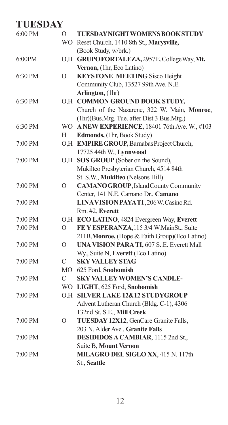| 6:00 PM | $\overline{O}$   | <b>TUESDAYNIGHTWOMENSBOOKSTUDY</b>                |
|---------|------------------|---------------------------------------------------|
|         |                  | WO Reset Church, 1410 8th St., Marysville,        |
|         |                  | (Book Study, w/brk.)                              |
| 6:00PM  |                  | O,H GRUPOFORTALEZA, 2957E. College Way, Mt.       |
|         |                  | Vernon, (1hr, Eco Latino)                         |
| 6:30 PM | $\overline{O}$   | <b>KEYSTONE MEETING Sisco Height</b>              |
|         |                  | Community Club, 13527 99th Ave. N.E.              |
|         |                  | Arlington, (1hr)                                  |
| 6:30 PM |                  | O,H COMMON GROUND BOOK STUDY,                     |
|         |                  | Church of the Nazarene, 322 W. Main, Monroe,      |
|         |                  | (1hr)(Bus.Mtg. Tue. after Dist.3 Bus.Mtg.)        |
| 6:30 PM |                  | WO A NEW EXPERIENCE, 18401 76th Ave. W., #103     |
|         | Н                | Edmonds, (1hr, Book Study)                        |
| 7:00 PM |                  | O,H EMPIRE GROUP, Barnabas Project Church,        |
|         |                  | 17725 44th W., Lynnwood                           |
| 7:00 PM |                  | O,H SOS GROUP (Sober on the Sound),               |
|         |                  | Mukilteo Presbyterian Church, 4514 84th           |
|         |                  | St. S.W., Mukilteo (Nelsons Hill)                 |
| 7:00 PM | O                | <b>CAMANO GROUP, Island County Community</b>      |
|         |                  | Center, 141 N.E. Camano Dr., Camano               |
| 7:00 PM |                  | LINAVISION PAYATI, 206W. Casino Rd.               |
|         |                  | Rm. #2, Everett                                   |
| 7:00 PM | O <sub>1</sub> H | ECO LATINO, 4824 Evergreen Way, Everett           |
| 7:00 PM | O                | FE Y ESPERANZA, 115 3/4 W. MainSt., Suite         |
|         |                  | 211B, Monroe, (Hope & Faith Group)(Eco Latino)    |
| 7:00 PM | $\overline{O}$   | <b>UNA VISION PARA TI, 607 S. E. Everett Mall</b> |
|         |                  | Wy., Suite N, Everett (Eco Latino)                |
| 7:00 PM | C                | <b>SKY VALLEY STAG</b>                            |
|         |                  | MO 625 Ford, Snohomish                            |
| 7:00 PM | C                | <b>SKY VALLEY WOMEN'S CANDLE-</b>                 |
|         |                  | WO LIGHT, 625 Ford, Snohomish                     |
| 7:00 PM |                  | O.H SILVER LAKE 12&12 STUDYGROUP                  |
|         |                  | Advent Lutheran Church (Bldg. C-1), 4306          |
|         |                  | 132nd St. S.E., Mill Creek                        |
| 7:00 PM | $\Omega$         | TUESDAY 12X12, GenCare Granite Falls,             |
|         |                  | 203 N. Alder Ave., Granite Falls                  |
| 7:00 PM |                  | DESIDIDOS A CAMBIAR, 1115 2nd St.,                |
|         |                  | <b>Suite B, Mount Vernon</b>                      |
| 7:00 PM |                  | MILAGRO DEL SIGLO XX, 415 N. 117th                |
|         |                  | St., Seattle                                      |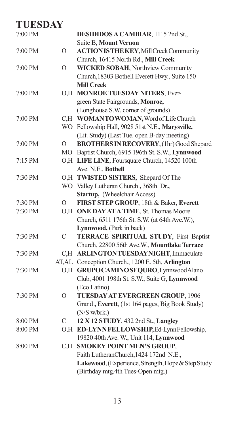#### **TUESDAY** DESIDIDOS A CAMBIAR, 1115 2nd St., Suite B, **Mount Vernon** 7:00 PM O **ACTION IS THE KEY**, Mill Creek Community Church, 16415 North Rd., **Mill Creek** 7:00 PM O **WICKED SOBAH**, Northview Community Church,18303 Bothell Everett Hwy., Suite 150 **Mill Creek** 7:00 PM O,H **MONROE TUESDAY NITERS**, Ever green State Fairgrounds, **Monroe,** (Longhouse S.W. corner of grounds) 7:00 PM C,H WOMAN TO WOMAN, Word of Life Church WO Fellowship Hall, 9028 51st N.E., **Marysville,** (Lit. Study) (Last Tue. open B-day meeting) 7:00 PM O **BROTHERS IN RECOVERY**, (1hr) Good Shepard MO Baptist Church, 6915 196th St. S.W., **Lynnwood** 7:15 PM O,H **LIFE LINE**, Foursquare Church, 14520 100th Ave. N.E., **Bothell** 7:30 PM O,H **TWISTED SISTERS,** Shepard Of The WO Valley Lutheran Church **,** 368th Dr.**, Startup,** (Wheelchair Access) 7:30 PM O **FIRST STEP GROUP**, 18th & Baker, **Everett** 7:30 PM O,H **ONE DAY AT A TIME**, St. Thomas Moore Church, 6511 176th St. S.W. (at 64th Ave.W.), **Lynnwood,** (Park in back) 7:30 PM C **TERRACE SPIRITUAL STUDY**, First Baptist Church, 22800 56th Ave.W., **Mountlake Terrace** 7:30 PM C,H **ARLINGTON TUESDAY NIGHT**, Immaculate AT,AL Conception Church., 1200 E. 5th, **Arlington** 7:30 PM O,H **GRUPO CAMINO SEQURO**, Lynnwood Alano Club, 4001 198th St. S.W., Suite G, **Lynnwood** (Eco Latino) 7:30 PM O **TUESDAY AT EVERGREEN GROUP**, 1906 Grand **, Everett**, (1st 164 pages, Big Book Study) (N/S w/brk.) 8:00 PM C **12 X 12 STUDY**, 432 2nd St., **Langley** 8:00 PM O,H **ED-LYNN FELLOWSHIP**, Ed-Lynn Fellowship, 19820 40th Ave. W., Unit 114, **Lynnwood** 8:00 PM C,H **SMOKEY POINT MEN'S GROUP**, Faith LutheranChurch,1424 172nd N.E., **Lakewood**, (Experience, Strength, Hope & Step Study (Birthday mtg.4th Tues-Open mtg.)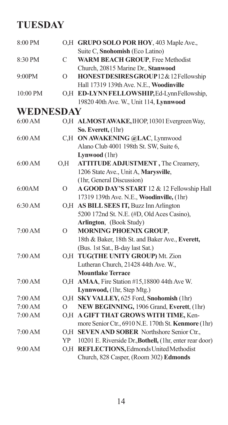| 8:00 PM   |          | O,H GRUPO SOLO POR HOY, 403 Maple Ave.,                 |
|-----------|----------|---------------------------------------------------------|
|           |          | Suite C, Snohomish (Eco Latino)                         |
| 8:30 PM   | C        | <b>WARM BEACH GROUP, Free Methodist</b>                 |
|           |          | Church, 20815 Marine Dr., Stanwood                      |
| 9:00PM    | $\Omega$ | HONEST DESIRES GROUP 12 & 12 Fellowship                 |
|           |          | Hall 17319 139th Ave. N.E., Woodinville                 |
| 10:00 PM  |          | O,H ED-LYNNFELLOWSHIP, Ed-LynnFellowship,               |
|           |          | 19820 40th Ave. W., Unit 114, Lynnwood                  |
| WEDNESDAY |          |                                                         |
| 6:00 AM   |          | O,H ALMOSTAWAKE, IHOP, 10301 Evergreen Way,             |
|           |          | So. Everett, (1hr)                                      |
| 6:00 AM   | C.H      | ON AWAKENING @LAC, Lynnwood                             |
|           |          | Alano Club 4001 198th St. SW, Suite 6,                  |
|           |          | Lynwood (1hr)                                           |
| 6:00 AM   | O.H      | <b>ATTITUDE ADJUSTMENT</b> , The Creamery,              |
|           |          | 1206 State Ave., Unit A, Marysville,                    |
|           |          | (1hr, General Discussion)                               |
| 6:00AM    | $\Omega$ | A GOOD DAY'S START 12 & 12 Fellowship Hall              |
|           |          | 17319 139th Ave. N.E., Woodinville, (1hr)               |
| 6:30 AM   |          | O,H AS BILL SEES IT, Buzz Inn Arlington                 |
|           |          | 5200 172nd St. N.E. (#D, Old Aces Casino),              |
|           |          | Arlington, (Book Study)                                 |
| 7:00 AM   | $\Omega$ | MORNING PHOENIX GROUP,                                  |
|           |          | 18th & Baker, 18th St. and Baker Ave., Everett,         |
|           |          | (Bus. 1st Sat., B-day last Sat.)                        |
| 7:00 AM   |          | O,H TUG(THE UNITY GROUP) Mt. Zion                       |
|           |          | Lutheran Church, 21428 44th Ave. W.,                    |
|           |          | <b>Mountlake Terrace</b>                                |
| 7:00 AM   |          | O,H AMAA, Fire Station #15,18800 44th Ave W.            |
|           |          | Lynnwood, (1hr, Step Mtg.)                              |
| 7:00 AM   |          | O,H SKY VALLEY, 625 Ford, Snohomish (1hr)               |
| 7:00 AM   | O        | NEW BEGINNING, 1906 Grand, Everett, (1hr)               |
| 7:00 AM   |          | O,H A GIFT THAT GROWS WITH TIME, Ken-                   |
|           |          | more Senior Ctr., 6910 N.E. 170th St. Kenmore (1hr)     |
| 7:00 AM   |          | O,H SEVEN AND SOBER Northshore Senior Ctr.,             |
|           | YP       | 10201 E. Riverside Dr., Bothell, (1hr, enter rear door) |
| 9:00 AM   |          | O,H REFLECTIONS, Edmonds United Methodist               |
|           |          | Church, 828 Casper, (Room 302) Edmonds                  |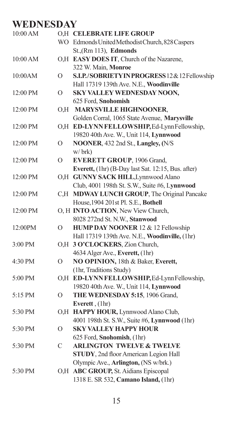## **WEDNESDAY**

| 10:00 AM  |          | O.H CELEBRATE LIFE GROUP                           |
|-----------|----------|----------------------------------------------------|
|           |          | WO Edmonds United Methodist Church, 828 Caspers    |
|           |          | St.,(Rm 113), Edmonds                              |
| 10:00 AM  |          | O,H EASY DOES IT, Church of the Nazarene,          |
|           |          | 322 W. Main, Monroe                                |
| 10:00AM   | O        | S.I.P./SOBRIETYINPROGRESS12&12Fellowship           |
|           |          | Hall 17319 139th Ave. N.E., Woodinville            |
| 12:00 PM  | O        | SKY VALLEY WEDNESDAY NOON,                         |
|           |          | 625 Ford, Snohomish                                |
| 12:00 PM  |          | O,H MARYSVILLE HIGHNOONER,                         |
|           |          | Golden Corral, 1065 State Avenue, Marysville       |
| 12:00 PM  |          | O,H ED-LYNNFELLOWSHIP, Ed-LynnFellowship,          |
|           |          | 19820 40th Ave. W., Unit 114, Lynnwood             |
| 12:00 PM  | $\Omega$ | NOONER, 432 2nd St., Langley, (N/S                 |
|           |          | w/brk                                              |
| 12:00 PM  | O        | EVERETT GROUP, 1906 Grand,                         |
|           |          | Everett, (1hr) (B-Day last Sat. 12:15, Bus. after) |
| 12:00 PM  |          | O,H GUNNY SACK HILL, Lynnwood Alano                |
|           |          | Club, 4001 198th St. S.W., Suite #6, Lynnwood      |
| 12:00 PM  |          | C,H MDWAY LUNCH GROUP, The Original Pancake        |
|           |          | House, 1904 201st Pl. S.E., Bothell                |
| 12:00 PM  |          | O, H INTO ACTION, New View Church,                 |
|           |          | 8028 272nd St. N.W., Stanwood                      |
| 12:00PM   | $\Omega$ | HUMP DAY NOONER 12 & 12 Fellowship                 |
|           |          | Hall 17319 139th Ave. N.E., Woodinville, (1hr)     |
| $3:00$ PM |          | O,H 3 O'CLOCKERS, Zion Church,                     |
|           |          | 4634 Alger Ave., Everett, (1hr)                    |
| 4:30 PM   | $\Omega$ | NO OPINION, 18th & Baker, Everett,                 |
|           |          | (1hr, Traditions Study)                            |
| 5:00 PM   |          | O,H ED-LYNNFELLOWSHIP, Ed-LynnFellowship,          |
|           |          | 19820 40th Ave. W., Unit 114, Lynnwood             |
| 5:15 PM   | O        | THE WEDNESDAY 5:15, 1906 Grand,                    |
|           |          | Everett, (1hr)                                     |
| 5:30 PM   |          | O,H HAPPY HOUR, Lynnwood Alano Club,               |
|           |          | 4001 198th St. S.W., Suite #6, Lynnwood (1hr)      |
| 5:30 PM   | O        | <b>SKY VALLEY HAPPY HOUR</b>                       |
|           |          | 625 Ford, Snohomish, (1hr)                         |
| 5:30 PM   | C        | <b>ARLINGTON TWELVE &amp; TWELVE</b>               |
|           |          | STUDY, 2nd floor American Legion Hall              |
|           |          | Olympic Ave., Arlington, (NS w/brk.)               |
| 5:30 PM   | O.H      | <b>ABC GROUP, St. Aidians Episcopal</b>            |
|           |          | 1318 E. SR 532, Camano Island, (1hr)               |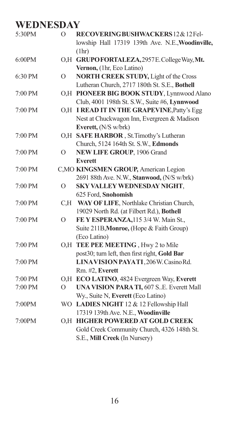# **WEDNESDAY**

| 5:30PM  | $\Omega$       | RECOVERINGBUSHWACKERS12&12Fel-<br>lowship Hall 17319 139th Ave. N.E., Woodinville,<br>(lhr) |
|---------|----------------|---------------------------------------------------------------------------------------------|
| 6:00PM  |                | O,H GRUPOFORTALEZA, 2957E. College Way, Mt.                                                 |
|         |                | Vernon, (1hr, Eco Latino)                                                                   |
| 6:30 PM | $\circ$        | <b>NORTH CREEK STUDY, Light of the Cross</b>                                                |
|         |                | Lutheran Church, 2717 180th St. S.E., Bothell                                               |
| 7:00 PM |                | O,H PIONEER BIG BOOK STUDY, Lynnwood Alano                                                  |
|         |                | Club, 4001 198th St. S.W., Suite #6, Lynnwood                                               |
| 7:00 PM |                | O,H I READ IT IN THE GRAPEVINE, Patty's Egg                                                 |
|         |                | Nest at Chuckwagon Inn, Evergreen & Madison                                                 |
|         |                | Everett, (N/S w/brk)                                                                        |
| 7:00 PM |                | O,H SAFE HARBOR, St.Timothy's Lutheran                                                      |
|         |                | Church, 5124 164th St. S.W., Edmonds                                                        |
| 7:00 PM | $\Omega$       | <b>NEW LIFE GROUP, 1906 Grand</b>                                                           |
|         |                | <b>Everett</b>                                                                              |
| 7:00 PM |                | C, MO KINGSMEN GROUP, American Legion                                                       |
|         |                | 2691 88th Ave. N.W., Stanwood, (N/S w/brk)                                                  |
| 7:00 PM | $\Omega$       | SKY VALLEY WEDNESDAY NIGHT,                                                                 |
|         |                | 625 Ford, Snohomish                                                                         |
| 7:00 PM | C,H            | WAY OF LIFE, Northlake Christian Church,                                                    |
|         |                | 19029 North Rd. (at Filbert Rd.), Bothell                                                   |
| 7:00 PM | $\mathcal{O}$  | FE Y ESPERANZA, 115 3/4 W. Main St.,                                                        |
|         |                | Suite 211B, Monroe, (Hope & Faith Group)                                                    |
|         |                | (Eco Latino)                                                                                |
| 7:00 PM | O.H            | TEE PEE MEETING, Hwy 2 to Mile                                                              |
|         |                | post30; turn left, then first right, Gold Bar                                               |
| 7:00 PM |                | LINAVISION PAYATI, 206W. Casino Rd.                                                         |
|         |                | Rm. #2, Everett                                                                             |
| 7:00 PM |                | O,H ECO LATINO, 4824 Evergreen Way, Everett                                                 |
| 7:00 PM | $\overline{O}$ | UNA VISION PARA TI, 607 SE. Everett Mall                                                    |
|         |                | Wy., Suite N, Everett (Eco Latino)                                                          |
| 7:00PM  |                | WO LADIES NIGHT 12 & 12 Fellowship Hall                                                     |
|         |                | 17319 139th Ave. N.E., Woodinville                                                          |
| 7:00PM  | O.H            | HIGHER POWERED AT GOLD CREEK                                                                |
|         |                | Gold Creek Community Church, 4326 148th St.                                                 |
|         |                | S.E., Mill Creek (In Nursery)                                                               |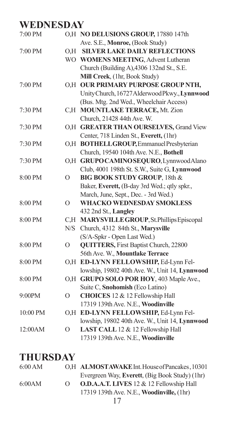# **WEDNESDAY**

| 7:00 PM   |                | O,H NO DELUSIONS GROUP, 17880 147th            |
|-----------|----------------|------------------------------------------------|
|           |                | Ave. S.E., Monroe, (Book Study)                |
| 7:00 PM   | O.H            | <b>SILVER LAKE DAILY REFLECTIONS</b>           |
|           |                | WO WOMENS MEETING, Advent Lutheran             |
|           |                | Church (Building A), 4306 132nd St., S.E.      |
|           |                | Mill Creek, (1hr, Book Study)                  |
| 7:00 PM   | O.H            | OUR PRIMARY PURPOSE GROUP NTH,                 |
|           |                | Unity Church, 16727 Alderwood Pkwy., Lynnwood  |
|           |                | (Bus. Mtg. 2nd Wed., Wheelchair Access)        |
| 7:30 PM   | C.H            | <b>MOUNTLAKE TERRACE, Mt. Zion</b>             |
|           |                | Church, 21428 44th Ave. W.                     |
| 7:30 PM   |                | O.H GREATER THAN OURSELVES, Grand View         |
|           |                | Center, 718 Linden St., Everett, (1hr)         |
| 7:30 PM   |                | O,H BOTHELLGROUP, Emmanuel Presbyterian        |
|           |                | Church, 19540 104th Ave. N.E., Bothell         |
| 7:30 PM   | O.H            | GRUPO CAMINO SEQURO, Lynnwood Alano            |
|           |                | Club, 4001 198th St. S.W., Suite G, Lynnwood   |
| 8:00 PM   | $\overline{O}$ | BIG BOOK STUDY GROUP, 18th &                   |
|           |                | Baker, Everett, (B-day 3rd Wed.; qtly spkr.,   |
|           |                | March, June, Sept., Dec. - 3rd Wed.)           |
| 8:00 PM   | $\overline{O}$ | <b>WHACKO WEDNESDAY SMOKLESS</b>               |
|           |                | 432 2nd St., Langley                           |
| $8:00$ PM | C.H            | MARYSVILLE GROUP, St. Phillips Episcopal       |
|           | N/S            | Church, 4312 84th St., Marysville              |
|           |                | (S/A-Spkr - Open Last Wed.)                    |
| 8:00 PM   | $\overline{O}$ | <b>QUITTERS, First Baptist Church, 22800</b>   |
|           |                | 56th Ave. W., Mountlake Terrace                |
| 8:00 PM   |                | O,H ED-LYNN FELLOWSHIP, Ed-Lynn Fel-           |
|           |                | lowship, 19802 40th Ave. W., Unit 14, Lynnwood |
| 8:00 PM   |                | O,H GRUPO SOLO POR HOY, 403 Maple Ave.,        |
|           |                | Suite C, Snohomish (Eco Latino)                |
| 9:00PM    | $\overline{O}$ | CHOICES 12 & 12 Fellowship Hall                |
|           |                | 17319 139th Ave. N.E., Woodinville             |
| 10:00 PM  |                | O,H ED-LYNN FELLOWSHIP, Ed-Lynn Fel-           |
|           |                | lowship, 19802 40th Ave. W., Unit 14, Lynnwood |
| 12:00AM   | $\overline{O}$ | LAST CALL 12 & 12 Fellowship Hall              |
|           |                | 17319 139th Ave. N.E., Woodinville             |

| 6:00 AM |          | O.H ALMOSTAWAKE Int. House of Pancakes, 10301     |
|---------|----------|---------------------------------------------------|
|         |          | Evergreen Way, Everett, (Big Book Study) (1hr)    |
| 6:00AM  | $\Omega$ | <b>O.D.A.A.T. LIVES</b> 12 & 12 Fellowship Hall   |
|         |          | 17319 139th Ave. N.E., <b>Woodinville</b> , (1hr) |
|         |          |                                                   |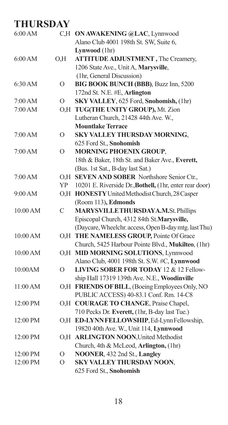| 6:00 AM  |                | C,H ON AWAKENING @LAC, Lynnwood                         |
|----------|----------------|---------------------------------------------------------|
|          |                | Alano Club 4001 198th St. SW, Suite 6,                  |
|          |                | Lynwood (1hr)                                           |
| 6:00 AM  | O.H            | <b>ATTITUDE ADJUSTMENT</b> , The Creamery,              |
|          |                | 1206 State Ave., Unit A, Marysville,                    |
|          |                | (1hr, General Discussion)                               |
| 6:30 AM  | $\overline{O}$ | BIG BOOK BUNCH (BBB), Buzz Inn, 5200                    |
|          |                | 172nd St. N.E. #E, Arlington                            |
| 7:00 AM  | $\Omega$       | SKY VALLEY, 625 Ford, Snohomish, (1hr)                  |
| 7:00 AM  | O, H           | TUG(THE UNITY GROUP), Mt. Zion                          |
|          |                | Lutheran Church, 21428 44th Ave. W.,                    |
|          |                | <b>Mountlake Terrace</b>                                |
| 7:00 AM  | О              | SKY VALLEY THURSDAY MORNING,                            |
|          |                | 625 Ford St., Snohomish                                 |
| 7:00 AM  | О              | <b>MORNING PHOENIX GROUP,</b>                           |
|          |                | 18th & Baker, 18th St. and Baker Ave., Everett,         |
|          |                | (Bus. 1st Sat., B-day last Sat.)                        |
| 7:00 AM  | O.H            | SEVEN AND SOBER Northshore Senior Ctr.,                 |
|          | <b>YP</b>      | 10201 E. Riverside Dr., Bothell, (1hr, enter rear door) |
| 9:00 AM  |                | O,H HONESTY United Methodist Church, 28 Casper          |
|          |                | (Room 113), Edmonds                                     |
| 10:00 AM | $\mathcal{C}$  | MARYSVILLETHURSDAYA,M.St. Phillips                      |
|          |                | Episcopal Church, 4312 84th St.Marysville,              |
|          |                | (Daycare, Wheelchr. access, Open B-day mtg. last Thu)   |
| 10:00 AM |                | O,H THE NAMELESS GROUP, Pointe Of Grace                 |
|          |                | Church, 5425 Harbour Pointe Blvd., Mukilteo, (1hr)      |
| 10:00 AM |                | O,H MID MORNING SOLUTIONS, Lynnwood                     |
|          |                | Alano Club, 4001 198th St. S.W. #C, Lynnwood            |
| 10:00AM  | $\circ$        | LIVING SOBER FOR TODAY 12 & 12 Fellow-                  |
|          |                | ship Hall 17319 139th Ave. N.E., Woodinville            |
| 11:00 AM |                | O,H FRIENDS OF BILL, (Boeing Employees Only, NO         |
|          |                | PUBLIC ACCESS) 40-83.1 Conf. Rm. 14-C8                  |
| 12:00 PM |                | O,H COURAGE TO CHANGE, Praise Chapel,                   |
|          |                | 710 Pecks Dr. Everett, (1hr, B-day last Tue.)           |
| 12:00 PM |                | O,H ED-LYNNFELLOWSHIP, Ed-LynnFellowship,               |
|          |                | 19820 40th Ave. W., Unit 114, Lynnwood                  |
| 12:00 PM |                | O,H ARLINGTON NOON, United Methodist                    |
|          |                | Church, 4th & McLeod, Arlington, (1hr)                  |
| 12:00 PM | О              | NOONER, 432 2nd St., Langley                            |
| 12:00 PM | $\circ$        | SKY VALLEY THURSDAY NOON,                               |
|          |                | 625 Ford St., Snohomish                                 |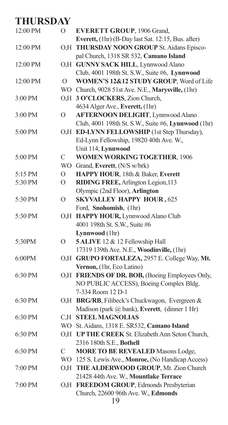| 12:00 PM | O           | EVERETT GROUP, 1906 Grand,                                                                      |
|----------|-------------|-------------------------------------------------------------------------------------------------|
|          |             | Everett, (1hr) (B-Day last Sat. 12:15, Bus. after)                                              |
| 12:00 PM |             | O,H THURSDAY NOON GROUP St. Aidans Episco-                                                      |
|          |             | pal Church, 1318 SR 532, Camano Island<br>O,H GUNNY SACK HILL, Lynnwood Alano                   |
| 12:00 PM |             |                                                                                                 |
|          |             | Club, 4001 198th St. S.W., Suite #6, Lynnwood                                                   |
| 12:00 PM | O           | WOMEN'S 12&12 STUDY GROUP, Word of Life                                                         |
|          |             | WO Church, 9028 51st Ave. N.E., Marysville, (1hr)                                               |
| 3:00 PM  |             | O,H 3 O'CLOCKERS, Zion Church,                                                                  |
|          |             | 4634 Alger Ave., Everett, (1hr)                                                                 |
| 3:00 PM  | $\Omega$    | <b>AFTERNOON DELIGHT, Lynnwood Alano</b>                                                        |
|          |             | Club, 4001 198th St. S.W., Suite #6, Lynnwood (1hr)                                             |
| 5:00 PM  |             | O,H ED-LYNN FELLOWSHIP (1st Step Thursday),                                                     |
|          |             | Ed-Lynn Fellowship, 19820 40th Ave. W.,                                                         |
|          |             | Unit 114, Lynnwood                                                                              |
| 5:00 PM  | C           | WOMEN WORKING TOGETHER, 1906                                                                    |
|          |             | WO Grand, Everett, (N/S w/brk)                                                                  |
| 5:15 PM  | O           | HAPPY HOUR, 18th & Baker, Everett                                                               |
| 5:30 PM  | O           | RIDING FREE, Arlington Legion, 113                                                              |
|          |             | Olympic (2nd Floor), Arlington                                                                  |
| 5:30 PM  | $\Omega$    | <b>SKYVALLEY HAPPY HOUR, 625</b>                                                                |
|          |             | Ford, Snohomish, (1hr)                                                                          |
| 5:30 PM  |             | O,H HAPPY HOUR, Lynnwood Alano Club<br>4001 198th St. S.W., Suite #6                            |
|          |             | Lynnwood (1hr)                                                                                  |
|          | O           | 5 ALIVE 12 & 12 Fellowship Hall                                                                 |
| 5:30PM   |             | 17319 139th Ave. N.E., Woodinville, (1hr)                                                       |
| 6:00PM   |             | O,H GRUPO FORTALEZA, 2957 E. College Way, Mt.                                                   |
|          |             | Vernon, (1hr, Eco Latino)                                                                       |
| 6:30 PM  |             | O,H FRIENDS OF DR. BOB, (Boeing Employees Only,                                                 |
|          |             | NO PUBLIC ACCESS), Boeing Complex Bldg.                                                         |
|          |             | 7-334 Room 12 D-1                                                                               |
| 6:30 PM  |             | O,H BRG/RB, Filibeck's Chuckwagon, Evergreen &                                                  |
|          |             |                                                                                                 |
| 6:30 PM  |             | Madison (park @ bank), Everett, (dinner 1 Hr)<br>C,H STEEL MAGNOLIAS                            |
|          |             |                                                                                                 |
| 6:30 PM  |             | WO St. Aidans, 1318 E. SR532, Camano Island<br>O,H UP THE CREEK St. Elizabeth Ann Seton Church, |
|          |             |                                                                                                 |
| 6:30 PM  | $\mathbf C$ | 2316 180th S.E., Bothell                                                                        |
|          |             | <b>MORE TO BE REVEALED Masons Lodge,</b><br>WO 125 S. Lewis Ave., Monroe, (No Handicap Access)  |
|          |             | O.H THE ALDERWOOD GROUP, Mt. Zion Church                                                        |
| 7:00 PM  |             | 21428 44th Ave. W., Mountlake Terrace                                                           |
|          |             |                                                                                                 |
| 7:00 PM  |             | O,H FREEDOM GROUP, Edmonds Presbyterian                                                         |
|          |             | Church, 22600 96th Ave. W., Edmonds                                                             |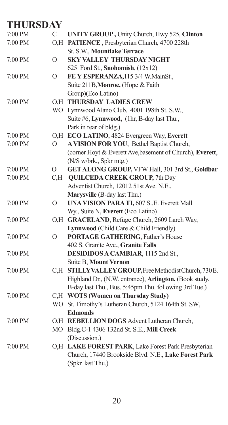| 7:00 PM | $\mathcal{C}$  | UNITY GROUP, Unity Church, Hwy 525, Clinton               |
|---------|----------------|-----------------------------------------------------------|
| 7:00 PM |                | O,H PATIENCE, Presbyterian Church, 4700 228th             |
|         |                | St. S.W., Mountlake Terrace                               |
| 7:00 PM | $\overline{O}$ | <b>SKY VALLEY THURSDAY NIGHT</b>                          |
|         |                | 625 Ford St., Snohomish, (12x12)                          |
| 7:00 PM | $\overline{O}$ | FE Y ESPERANZA, 115 3/4 W. MainSt.,                       |
|         |                | Suite 211B, Monroe, (Hope & Faith                         |
|         |                | Group)(Eco Latino)                                        |
| 7:00 PM |                | <b>O.H THURSDAY LADIES CREW</b>                           |
|         |                | WO Lynnwood Alano Club, 4001 198th St. S.W.,              |
|         |                | Suite #6, Lynnwood, (1hr, B-day last Thu.,                |
|         |                | Park in rear of bldg.)                                    |
| 7:00 PM |                | O,H ECO LATINO, 4824 Evergreen Way, Everett               |
| 7:00 PM | $\Omega$       | A VISION FOR YOU, Bethel Baptist Church,                  |
|         |                | (corner Hoyt & Everett Ave, basement of Church), Everett, |
|         |                | (N/S w/brk., Spkr mtg.)                                   |
| 7:00 PM | $\Omega$       | GET ALONG GROUP, VFW Hall, 301 3rd St., Goldbar           |
| 7:00 PM | C,H            | <b>QUILCEDA CREEK GROUP, 7th Day</b>                      |
|         |                | Adventist Church, 12012 51st Ave. N.E.,                   |
|         |                | Marysville (B-day last Thu.)                              |
| 7:00 PM | $\overline{O}$ | <b>UNA VISION PARA TI, 607 S. E. Everett Mall</b>         |
|         |                | Wy., Suite N, Everett (Eco Latino)                        |
| 7:00 PM |                | O,H GRACELAND, Refuge Church, 2609 Larch Way,             |
|         |                | Lynnwood (Child Care & Child Friendly)                    |
| 7:00 PM | $\mathcal{O}$  | <b>PORTAGE GATHERING, Father's House</b>                  |
|         |                | 402 S. Granite Ave., Granite Falls                        |
| 7:00 PM |                | DESIDIDOS A CAMBIAR, 1115 2nd St.,                        |
|         |                | Suite B, Mount Vernon                                     |
| 7:00 PM | C.H            | STILLYVALLEYGROUP, Free Methodist Church, 730E.           |
|         |                | Highland Dr., (N.W. entrance), Arlington, (Book study,    |
|         |                | B-day last Thu., Bus. 5:45pm Thu. following 3rd Tue.)     |
| 7:00 PM |                | C,H WOTS (Women on Thursday Study)                        |
|         |                | WO St. Timothy's Lutheran Church, 5124 164th St. SW,      |
|         |                | <b>Edmonds</b>                                            |
| 7:00 PM |                | O,H REBELLION DOGS Advent Lutheran Church,                |
|         |                | MO Bldg.C-1 4306 132nd St. S.E., Mill Creek               |
|         |                | (Discussion.)                                             |
| 7:00 PM |                | O,H LAKE FOREST PARK, Lake Forest Park Presbyterian       |
|         |                | Church, 17440 Brookside Blvd. N.E., Lake Forest Park      |
|         |                | (Spkr. last Thu.)                                         |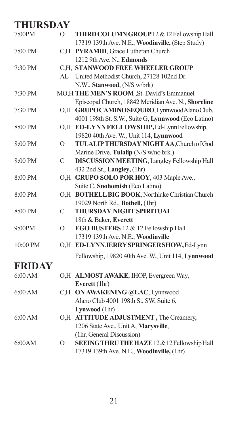| 7:00PM        | $\Omega$      | THIRD COLUMN GROUP 12 & 12 Fellowship Hall          |
|---------------|---------------|-----------------------------------------------------|
|               |               | 17319 139th Ave. N.E., Woodinville, (Step Study)    |
| 7:00 PM       |               | C,H PYRAMID, Grace Lutheran Church                  |
|               |               | 1212 9th Ave. N., Edmonds                           |
| 7:30 PM       |               | C.H. STANWOOD FREE WHEELER GROUP                    |
|               |               | AL United Methodist Church, 27128 102nd Dr.         |
|               |               | N.W., Stanwood, (N/S w/brk)                         |
| 7:30 PM       |               | MO,H THE MEN'S ROOM, St. David's Emmanuel           |
|               |               | Episcopal Church, 18842 Meridian Ave. N., Shoreline |
| 7:30 PM       |               | O,H GRUPOCAMINOSEQURO, LynnwoodAlanoClub,           |
|               |               | 4001 198th St. S.W., Suite G, Lynnwood (Eco Latino) |
| 8:00 PM       |               | O,H ED-LYNN FELLOWSHIP, Ed-Lynn Fellowship,         |
|               |               | 19820 40th Ave. W., Unit 114, Lynnwood              |
| 8:00 PM       | $\mathcal{O}$ | TULALIP THURSDAY NIGHT AA, Church of God            |
|               |               | Marine Drive, Tulalip (N/S w/no brk.)               |
| 8:00 PM       | $\mathcal{C}$ | <b>DISCUSSION MEETING, Langley Fellowship Hall</b>  |
|               |               | 432 2nd St., Langley, (1hr)                         |
| 8:00 PM       |               | O,H GRUPO SOLO POR HOY, 403 Maple Ave.,             |
|               |               | Suite C, Snohomish (Eco Latino)                     |
| 8:00 PM       |               | O,H BOTHELL BIG BOOK, Northlake Christian Church    |
|               |               | 19029 North Rd., Bothell, (1hr)                     |
| 8:00 PM       | $\mathsf{C}$  | <b>THURSDAY NIGHT SPIRITUAL</b>                     |
|               |               | 18th & Baker, Everett                               |
| 9:00PM        | $\Omega$      | EGO BUSTERS 12 & 12 Fellowship Hall                 |
|               |               | 17319 139th Ave. N.E., Woodinville                  |
| 10:00 PM      |               | O,H ED-LYNNJERRYSPRINGERSHOW, Ed-Lynn               |
|               |               | Fellowship, 19820 40th Ave. W., Unit 114, Lynnwood  |
| <b>FRIDAY</b> |               |                                                     |
| 6:00 AM       |               | O,H ALMOST AWAKE, IHOP, Evergreen Way,              |
|               |               | Everett (1hr)                                       |
| 6:00 AM       |               | C,H ON AWAKENING @LAC, Lynnwood                     |
|               |               | Alano Club 4001 198th St. SW, Suite 6,              |
|               |               | Lynwood (1hr)                                       |
| 6:00 AM       |               | O,H ATTITUDE ADJUSTMENT, The Creamery,              |
|               |               | 1206 State Ave., Unit A, Marysville,                |
|               |               | (1hr, General Discussion)                           |
| 6:00AM        | O             | SEEINGTHRUTHE HAZE 12 & 12 Fellowship Hall          |
|               |               | 17319 139th Ave. N.E., Woodinville, (1hr)           |
|               |               |                                                     |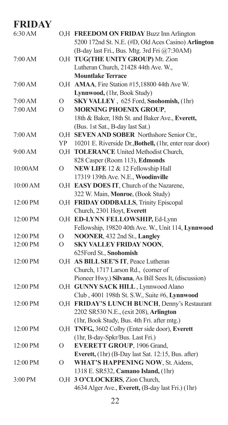| 6:30 AM  |          | O,H FREEDOM ON FRIDAY Buzz Inn Arlington                |
|----------|----------|---------------------------------------------------------|
|          |          | 5200 172nd St. N.E. (#D, Old Aces Casino) Arlington     |
|          |          | (B-day last Fri., Bus. Mtg. 3rd Fri @7:30AM)            |
| 7:00 AM  |          | O,H TUG(THE UNITY GROUP) Mt. Zion                       |
|          |          | Lutheran Church, 21428 44th Ave. W.,                    |
|          |          | <b>Mountlake Terrace</b>                                |
| 7:00 AM  |          | O,H AMAA, Fire Station #15,18800 44th Ave W.            |
|          |          | Lynnwood, (1hr, Book Study)                             |
| 7:00 AM  | O        | SKY VALLEY, 625 Ford, Snohomish, (1hr)                  |
| 7:00 AM  | O        | <b>MORNING PHOENIX GROUP,</b>                           |
|          |          | 18th & Baker, 18th St. and Baker Ave., Everett,         |
|          |          | (Bus. 1st Sat., B-day last Sat.)                        |
| 7:00 AM  |          | O.H SEVEN AND SOBER Northshore Senior Ctr.,             |
|          | YP       | 10201 E. Riverside Dr., Bothell, (1hr, enter rear door) |
| 9:00 AM  |          | O,H TOLERANCE United Methodist Church,                  |
|          |          | 828 Casper (Room 113), Edmonds                          |
| 10:00AM  | $\Omega$ | NEW LIFE 12 & 12 Fellowship Hall                        |
|          |          | 17319 139th Ave. N.E., Woodinville                      |
| 10:00 AM |          | O,H EASY DOES IT, Church of the Nazarene,               |
|          |          | 322 W. Main, Monroe, (Book Study)                       |
| 12:00 PM |          | O,H FRIDAY ODDBALLS, Trinity Episcopal                  |
|          |          | Church, 2301 Hoyt, Everett                              |
| 12:00 PM |          | O,H ED-LYNN FELLOWSHIP, Ed-Lynn                         |
|          |          | Fellowship, 19820 40th Ave. W., Unit 114, Lynnwood      |
| 12:00 PM | O        | NOONER, 432 2nd St., Langley                            |
| 12:00 PM | $\Omega$ | <b>SKY VALLEY FRIDAY NOON,</b>                          |
|          |          | 625Ford St., Snohomish                                  |
| 12:00 PM |          | O,H AS BILL SEE'S IT, Peace Lutheran                    |
|          |          | Church, 1717 Larson Rd., (corner of                     |
|          |          | Pioneer Hwy.) Silvana, As Bill Sees It, (discussion)    |
| 12:00 PM |          | O,H GUNNY SACK HILL, Lynnwood Alano                     |
|          |          | Club, 4001 198th St. S.W., Suite #6, Lynnwood           |
| 12:00 PM |          | O,H FRIDAY'S LUNCH BUNCH, Denny's Restaurant            |
|          |          | 2202 SR530 N.E., (exit 208), Arlington                  |
|          |          | (1hr, Book Study, Bus. 4th Fri. after mtg.)             |
| 12:00 PM |          | O,H TNFG, 3602 Colby (Enter side door), Everett         |
|          |          | (1hr, B-day-Spkr/Bus. Last Fri.)                        |
| 12:00 PM | O        | <b>EVERETT GROUP</b> , 1906 Grand,                      |
|          |          | Everett, (1hr) (B-Day last Sat. 12:15, Bus. after)      |
| 12:00 PM | O        | <b>WHAT'S HAPPENING NOW, St. Aidens,</b>                |
|          |          | 1318 E. SR532, Camano Island, (1hr)                     |
| 3:00 PM  |          | O,H 3 O'CLOCKERS, Zion Church,                          |
|          |          | 4634 Alger Ave., Everett, (B-day last Fri.) (1hr)       |
|          |          |                                                         |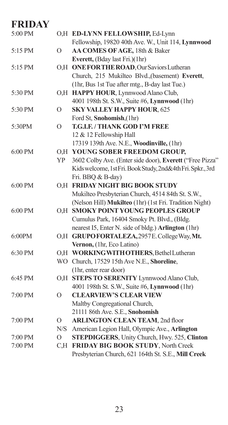|          | O,H ED-LYNN FELLOWSHIP, Ed-Lynn                          |
|----------|----------------------------------------------------------|
|          | Fellowship, 19820 40th Ave. W., Unit 114, Lynnwood       |
| $\Omega$ | AA COMES OF AGE, 18th & Baker                            |
|          | Everett, (Bday last Fri.)(1hr)                           |
|          | O,H ONE FOR THE ROAD, Our Saviors Lutheran               |
|          | Church, 215 Mukilteo Blvd., (basement) Everett,          |
|          | (1hr, Bus 1st Tue after mtg., B-day last Tue.)           |
|          | O,H HAPPY HOUR, Lynnwood Alano Club,                     |
|          | 4001 198th St. S.W., Suite #6, Lynnwood (1hr)            |
| $\Omega$ | <b>SKY VALLEY HAPPY HOUR, 625</b>                        |
|          | Ford St, Snohomish,(1hr)                                 |
| $\Omega$ | <b>T.G.I.F. / THANK GOD I'M FREE</b>                     |
|          | 12 & 12 Fellowship Hall                                  |
|          | 17319 139th Ave. N.E., Woodinville, (1hr)                |
|          | O.H YOUNG SOBER FREEDOM GROUP,                           |
| YP       | 3602 Colby Ave. (Enter side door), Everett ("Free Pizza" |
|          | Kidswelcome, 1stFri. Book Study, 2nd&4thFri. Spkr., 3rd  |
|          | Fri. BBQ & B-day)                                        |
|          | O,H FRIDAY NIGHT BIG BOOK STUDY                          |
|          | Mukilteo Presbyterian Church, 4514 84th St. S.W.,        |
|          | (Nelson Hill) Mukilteo (1hr) (1st Fri. Tradition Night)  |
|          | <b>SMOKY POINT YOUNG PEOPLES GROUP</b>                   |
|          | Cumulus Park, 16404 Smoky Pt. Blvd., (Bldg.              |
|          | nearest I5, Enter N. side of bldg.) Arlington (1hr)      |
|          | O,H GRUPOFORTALEZA, 2957E. College Way, Mt.              |
|          | Vernon, (1hr, Eco Latino)                                |
|          | O,H WORKINGWITH OTHERS, Bethel Lutheran                  |
|          | WO Church, 17529 15th Ave N.E., Shoreline,               |
|          | (1hr, enter rear door)                                   |
|          | O,H STEPS TO SERENITY Lynnwood Alano Club,               |
|          | 4001 198th St. S.W., Suite #6, Lynnwood (1hr)            |
| O        | <b>CLEARVIEW'S CLEAR VIEW</b>                            |
|          | Maltby Congregational Church,                            |
|          | 21111 86th Ave. S.E., Snohomish                          |
| О        | <b>ARLINGTON CLEAN TEAM, 2nd floor</b>                   |
| N/S      | American Legion Hall, Olympic Ave., Arlington            |
| O        | <b>STEPDIGGERS</b> , Unity Church, Hwy. 525, Clinton     |
| C.H      | FRIDAY BIG BOOK STUDY, North Creek                       |
|          | Presbyterian Church, 621 164th St. S.E., Mill Creek      |
|          | O.H                                                      |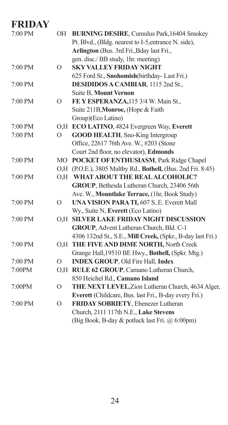| 7:00 PM           |          | OH BURNING DESIRE, Cumulus Park, 16404 Smokey                |
|-------------------|----------|--------------------------------------------------------------|
|                   |          | Pt. Blvd., (Bldg. nearest to I-5, entrance N. side),         |
|                   |          | Arlington (Bus. 3rd Fri., Bday last Fri.,                    |
|                   |          | gen. disc./ BB study, 1hr. meeting)                          |
| 7:00 PM           | $\Omega$ | <b>SKY VALLEY FRIDAY NIGHT</b>                               |
|                   |          | 625 Ford St., Snohomish(birthday-Last Fri.)                  |
| 7:00 PM           |          | DESIDIDOS A CAMBIAR, 1115 2nd St.,                           |
|                   |          | <b>Suite B, Mount Vernon</b>                                 |
| 7:00 PM           | Ω        | FE Y ESPERANZA, 115 3/4 W. Main St.,                         |
|                   |          | Suite 211B, Monroe, (Hope & Faith                            |
|                   |          | Group)(Eco Latino)                                           |
| 7:00 PM           |          | O,H ECO LATINO, 4824 Evergreen Way, Everett                  |
| 7:00 PM           | $\Omega$ | <b>GOOD HEALTH, Sno-King Intergroup</b>                      |
|                   |          | Office, 22617 76th Ave. W., #203 (Stone                      |
|                   |          | Court 2nd floor, no elevator), Edmonds                       |
| 7:00 PM           |          | MO POCKET OF ENTHUSIASM, Park Ridge Chapel                   |
|                   |          | O,H (P.O.E.), 3805 Maltby Rd., Bothell, (Bus. 2nd Fri. 8:45) |
| 7:00 PM           |          | O.H WHAT ABOUT THE REAL ALCOHOLIC?                           |
|                   |          | GROUP, Bethesda Lutheran Church, 23406 56th                  |
|                   |          | Ave. W., Mountlake Terrace, (1hr, Book Study)                |
| $7:00$ PM         | 0        | UNA VISION PARA TI, 607 SE. Everett Mall                     |
|                   |          | Wy., Suite N, Everett (Eco Latino)                           |
| 7:00 PM           |          | O.H SILVER LAKE FRIDAY NIGHT DISCUSSION                      |
|                   |          | GROUP, Advent Lutheran Church, Bld. C-1                      |
|                   |          | 4306 132nd St., S.E., Mill Creek, (Spkr., B-day last Fri.)   |
| 7:00 PM           |          | O,H THE FIVE AND DIME NORTH, North Creek                     |
|                   |          | Grange Hall, 19510 BE Hwy., Bothell, (Spkr. Mtg.)            |
| 7:00 PM           | $\Omega$ | <b>INDEX GROUP, Old Fire Hall, Index</b>                     |
| 7:00PM            |          | O,H RULE 62 GROUP, Camano Lutheran Church,                   |
|                   |          | 850 Heichel Rd., Camano Island                               |
| 7:00PM            | O        | THE NEXT LEVEL, Zion Lutheran Church, 4634 Alger,            |
|                   |          | Everett (Childcare, Bus. last Fri., B-day every Fri.)        |
| $7:00 \text{ PM}$ | $\Omega$ | FRIDAY SOBRIETY, Ebenezer Lutheran                           |
|                   |          | Church, 2111 117th N.E., Lake Stevens                        |
|                   |          | (Big Book, B-day & potluck last Fri. @ 6:00pm)               |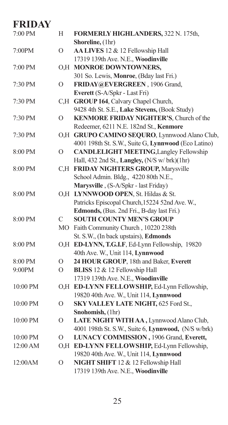| 7:00 PM  | H              | FORMERLY HIGHLANDERS, 322 N. 175th,<br>Shoreline, (1hr) |
|----------|----------------|---------------------------------------------------------|
| 7:00PM   | $\rm ^o$       | AA LIVES 12 & 12 Fellowship Hall                        |
|          |                | 17319 139th Ave. N.E., Woodinville                      |
| 7:00 PM  |                | O,H MONROE DOWNTOWNERS,                                 |
|          |                | 301 So. Lewis, Monroe, (Bday last Fri.)                 |
| 7:30 PM  | $\rm ^o$       | FRIDAY@EVERGREEN, 1906 Grand,                           |
|          |                | Everett (S-A/Spkr - Last Fri)                           |
| 7:30 PM  |                | C,H GROUP 164, Calvary Chapel Church,                   |
|          |                | 9428 4th St. S.E., Lake Stevens, (Book Study)           |
| 7:30 PM  | $\overline{O}$ | KENMORE FRIDAY NIGHTER'S, Church of the                 |
|          |                | Redeemer, 6211 N.E. 182nd St., Kenmore                  |
| 7:30 PM  |                | O,H GRUPO CAMINO SEQURO, Lynnwood Alano Club,           |
|          |                | 4001 198th St. S.W., Suite G, Lynnwood (Eco Latino)     |
| 8:00 PM  | O              | <b>CANDLELIGHT MEETING, Langley Fellowship</b>          |
|          |                | Hall, 432 2nd St., Langley, (N/S w/ brk)(1hr)           |
| 8:00 PM  | C.H            | FRIDAY NIGHTERS GROUP, Marysville                       |
|          |                | School Admin. Bldg., 4220 80th N.E.,                    |
|          |                | Marysville, (S-A/Spkr - last Friday)                    |
| 8:00 PM  |                | O,H LYNNWOOD OPEN, St. Hildas & St.                     |
|          |                | Patricks Episcopal Church, 15224 52nd Ave. W.,          |
|          |                | Edmonds, (Bus. 2nd Fri., B-day last Fri.)               |
| 8:00 PM  | С              | <b>SOUTH COUNTY MEN'S GROUP</b>                         |
|          | MO             | Faith Community Church, 10220 238th                     |
|          |                | St. S.W., (In back upstairs), Edmonds                   |
| 8:00 PM  |                | O,H ED-LYNN, T.G.I.F, Ed-Lynn Fellowship, 19820         |
|          |                | 40th Ave. W., Unit 114, Lynnwood                        |
| 8:00 PM  | O              | 24 HOUR GROUP, 18th and Baker, Everett                  |
| 9:00PM   | $\Omega$       | BLISS 12 & 12 Fellowship Hall                           |
|          |                | 17319 139th Ave. N.E., Woodinville                      |
| 10:00 PM | O.H            | ED-LYNN FELLOWSHIP, Ed-Lynn Fellowship,                 |
|          |                | 19820 40th Ave. W., Unit 114, Lynnwood                  |
| 10:00 PM | O              | SKY VALLEY LATE NIGHT, 625 Ford St.,                    |
|          |                | Snohomish, (1hr)                                        |
| 10:00 PM | $\circ$        | LATE NIGHT WITH AA, Lynnwood Alano Club,                |
|          |                | 4001 198th St. S.W., Suite 6, Lynnwood, (N/S w/brk)     |
| 10:00 PM | $\circ$        | LUNACY COMMISSION, 1906 Grand, Everett,                 |
| 12:00 AM | O, H           | ED-LYNN FELLOWSHIP, Ed-Lynn Fellowship,                 |
|          |                | 19820 40th Ave. W., Unit 114, Lynnwood                  |
| 12:00AM  | $\Omega$       | NIGHT SHIFT 12 & 12 Fellowship Hall                     |
|          |                | 17319 139th Ave. N.E., Woodinville                      |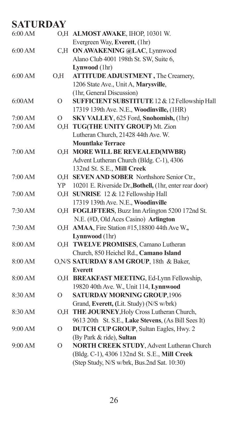| 6:00 AM |                | O,H ALMOST AWAKE, IHOP, 10301 W.                        |
|---------|----------------|---------------------------------------------------------|
|         |                | Evergreen Way, Everett, (1hr)                           |
| 6:00 AM |                | C,H ON AWAKENING @LAC, Lynnwood                         |
|         |                | Alano Club 4001 198th St. SW, Suite 6,                  |
|         |                | Lynwood (1hr)                                           |
| 6:00 AM | O,H            | ATTITUDE ADJUSTMENT, The Creamery,                      |
|         |                | 1206 State Ave., Unit A, Marysville,                    |
|         |                | (1hr, General Discussion)                               |
| 6:00AM  | $\Omega$       | SUFFICIENT SUBSTITUTE 12 & 12 Fellowship Hall           |
|         |                | 17319 139th Ave. N.E., Woodinville, (1HR)               |
| 7:00 AM | Ω              | SKY VALLEY, 625 Ford, Snohomish, (1hr)                  |
| 7:00 AM | O.H            | TUG(THE UNITY GROUP) Mt. Zion                           |
|         |                | Lutheran Church, 21428 44th Ave. W.                     |
|         |                | <b>Mountlake Terrace</b>                                |
| 7:00 AM |                | O,H MORE WILL BE REVEALED(MWBR)                         |
|         |                | Advent Lutheran Church (Bldg. C-1), 4306                |
|         |                | 132nd St. S.E., Mill Creek                              |
| 7:00 AM |                | O,H SEVEN AND SOBER Northshore Senior Ctr.,             |
|         | YP             | 10201 E. Riverside Dr., Bothell, (1hr, enter rear door) |
| 7:00 AM |                | O,H SUNRISE 12 & 12 Fellowship Hall                     |
|         |                | 17319 139th Ave. N.E., Woodinville                      |
| 7:30 AM |                | O,H FOGLIFTERS, Buzz Inn Arlington 5200 172nd St.       |
|         |                | N.E. (#D, Old Aces Casino) Arlington                    |
| 7:30 AM |                | O,H AMAA, Fire Station #15,18800 44th Ave W.,           |
|         |                | Lynnwood (1hr)                                          |
| 8:00 AM |                | O,H TWELVE PROMISES, Camano Lutheran                    |
|         |                | Church, 850 Heichel Rd., Camano Island                  |
| 8:00 AM |                | O, N/S SATURDAY 8 AM GROUP, 18th & Baker,               |
|         |                | <b>Everett</b>                                          |
| 8:00 AM |                | O,H BREAKFAST MEETING, Ed-Lynn Fellowship,              |
|         |                | 19820 40th Ave. W., Unit 114, Lynnwood                  |
| 8:30 AM | $\overline{O}$ | <b>SATURDAY MORNING GROUP, 1906</b>                     |
|         |                | Grand, Everett, (Lit. Study) (N/S w/brk)                |
| 8:30 AM |                | O,H THE JOURNEY, Holy Cross Lutheran Church,            |
|         |                | 9613 20th St. S.E., Lake Stevens, (As Bill Sees It)     |
| 9:00 AM | $\Omega$       | <b>DUTCH CUP GROUP</b> , Sultan Eagles, Hwy. 2          |
|         |                | (By Park & ride), Sultan                                |
| 9:00 AM | О              | NORTH CREEK STUDY, Advent Lutheran Church               |
|         |                | (Bldg. C-1), 4306 132nd St. S.E., Mill Creek            |
|         |                | (Step Study, N/S w/brk, Bus.2nd Sat. 10:30)             |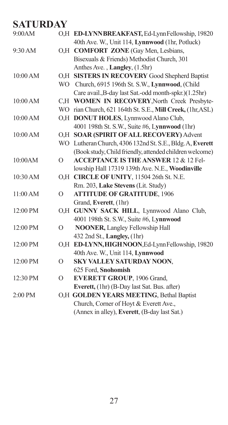| 9:00AM   |          | O,H ED-LYNNBREAKFAST, Ed-LynnFellowship, 19820             |
|----------|----------|------------------------------------------------------------|
|          |          | 40th Ave. W., Unit 114, Lynnwood (1hr, Potluck)            |
| 9:30 AM  |          | O,H COMFORT ZONE (Gay Men, Lesbians,                       |
|          |          | Bisexuals & Friends) Methodist Church, 301                 |
|          |          | Anthes Ave., Langley, (1.5hr)                              |
| 10:00 AM |          | O,H SISTERS IN RECOVERY Good Shepherd Baptist              |
|          |          | WO Church, 6915 196th St. S.W., Lynnwood, (Child           |
|          |          | Care avail., B-day last Sat.-odd month-spkr.)(1.25hr)      |
| 10:00 AM |          | C,H WOMEN IN RECOVERY, North Creek Presbyte-               |
|          |          | WO rian Church, 621 164th St. S.E., Mill Creek, (1hr, ASL) |
| 10:00 AM |          | O,H DONUT HOLES, Lynnwood Alano Club,                      |
|          |          | 4001 198th St. S.W., Suite #6, Lynnwood (1hr)              |
| 10:00 AM |          | O.H SOAR (SPIRIT OF ALL RECOVERY) Advent                   |
|          |          | WO Lutheran Church, 4306 132nd St. S.E., Bldg. A, Everett  |
|          |          | (Book study, Child friendly, attended children welcome)    |
| 10:00AM  | $\Omega$ | <b>ACCEPTANCE IS THE ANSWER 12 &amp; 12 Fel-</b>           |
|          |          | lowship Hall 17319 139th Ave. N.E., Woodinville            |
| 10:30 AM |          | O,H CIRCLE OF UNITY, 11504 26th St. N.E.                   |
|          |          | Rm. 203, Lake Stevens (Lit. Study)                         |
| 11:00 AM | $\circ$  | <b>ATTITUDE OF GRATITUDE, 1906</b>                         |
|          |          | Grand, Everett, (1hr)                                      |
| 12:00 PM |          | O,H GUNNY SACK HILL, Lynnwood Alano Club,                  |
|          |          | 4001 198th St. S.W., Suite #6, Lynnwood                    |
| 12:00 PM | $\Omega$ | <b>NOONER, Langley Fellowship Hall</b>                     |
|          |          | 432 2nd St., Langley, (1hr)                                |
| 12:00 PM |          | O,H ED-LYNN, HIGH NOON, Ed-Lynn Fellowship, 19820          |
|          |          | 40th Ave. W., Unit 114, Lynnwood                           |
| 12:00 PM | $\Omega$ | SKY VALLEY SATURDAY NOON,                                  |
|          |          | 625 Ford, Snohomish                                        |
| 12:30 PM | $\circ$  | <b>EVERETT GROUP, 1906 Grand,</b>                          |
|          |          | Everett, (1hr) (B-Day last Sat. Bus. after)                |
| 2:00 PM  |          | O,H GOLDEN YEARS MEETING, Bethal Baptist                   |
|          |          | Church, Corner of Hoyt & Everett Ave.,                     |
|          |          | (Annex in alley), Everett, (B-day last Sat.)               |
|          |          |                                                            |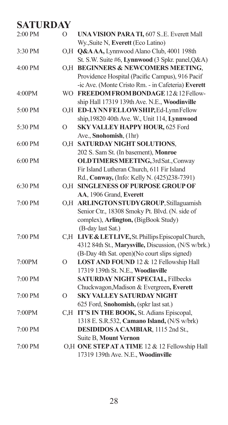| 2:00 PM   | $\overline{O}$ | <b>UNA VISION PARA TI, 607 S.E. Everett Mall</b>    |
|-----------|----------------|-----------------------------------------------------|
|           |                | Wy., Suite N, Everett (Eco Latino)                  |
| 3:30 PM   |                | O,H Q&AAA, Lynnwood Alano Club, 4001 198th          |
|           |                | St. S.W. Suite #6, Lynnwood (3 Spkr. panel, Q&A)    |
| 4:00 PM   |                | O.H BEGINNERS & NEWCOMERS MEETING,                  |
|           |                | Providence Hospital (Pacific Campus), 916 Pacif     |
|           |                | -ic Ave. (Monte Cristo Rm. - in Cafeteria) Everett  |
| 4:00PM    |                | WO FREEDOM FROM BONDAGE 12 & 12 Fellow-             |
|           |                | ship Hall 17319 139th Ave. N.E., Woodinville        |
| 5:00 PM   | O, H           | ED-LYNN FELLOWSHIP, Ed-Lynn Fellow                  |
|           |                | ship, 19820 40th Ave. W., Unit 114, Lynnwood        |
| 5:30 PM   | $\overline{O}$ | SKY VALLEY HAPPY HOUR, 625 Ford                     |
|           |                | Ave., Snohomish, (1hr)                              |
| $6:00$ PM |                | O,H SATURDAY NIGHT SOLUTIONS,                       |
|           |                | 202 S. Sam St. (In basement), Monroe                |
| $6:00$ PM |                | OLDTIMERSMEETING, 3rd Sat., Conway                  |
|           |                | Fir Island Lutheran Church, 611 Fir Island          |
|           |                | Rd., Conway, (Info: Kelly N. (425)238-7391)         |
| 6:30 PM   |                | O.H SINGLENESS OF PURPOSE GROUP OF                  |
|           |                | AA, 1906 Grand, Everett                             |
| 7:00 PM   |                | O,H ARLINGTONSTUDY GROUP, Stillaguamish             |
|           |                | Senior Ctr., 18308 Smoky Pt. Blvd. (N. side of      |
|           |                | complex), Arlington, (BigBook Study)                |
|           |                | (B-day last Sat.)                                   |
| 7:00 PM   |                | C,H LIVE & LET LIVE, St. Phillips Episcopal Church, |
|           |                | 4312 84th St., Marysville, Discussion, (N/S w/brk.) |
|           |                | (B-Day 4th Sat. open)(No court slips signed)        |
| 7:00PM    | $\overline{O}$ | LOST AND FOUND 12 & 12 Fellowship Hall              |
|           |                | 17319 139th St. N.E., Woodinville                   |
| 7:00 PM   |                | <b>SATURDAY NIGHT SPECIAL, Fillbecks</b>            |
|           |                | Chuckwagon, Madison & Evergreen, Everett            |
| 7:00 PM   | $\overline{O}$ | <b>SKY VALLEY SATURDAY NIGHT</b>                    |
|           |                | 625 Ford, Snohomish, (spkr last sat.)               |
| 7:00PM    | C.H            | IT'S IN THE BOOK, St. Adians Episcopal,             |
|           |                | 1318 E. S.R.532, Camano Island, (N/S w/brk)         |
| 7:00 PM   |                | DESIDIDOS A CAMBIAR, 1115 2nd St.,                  |
|           |                | Suite B, Mount Vernon                               |
| 7:00 PM   |                | O,H ONE STEP AT A TIME 12 & 12 Fellowship Hall      |
|           |                | 17319 139th Ave. N.E., Woodinville                  |